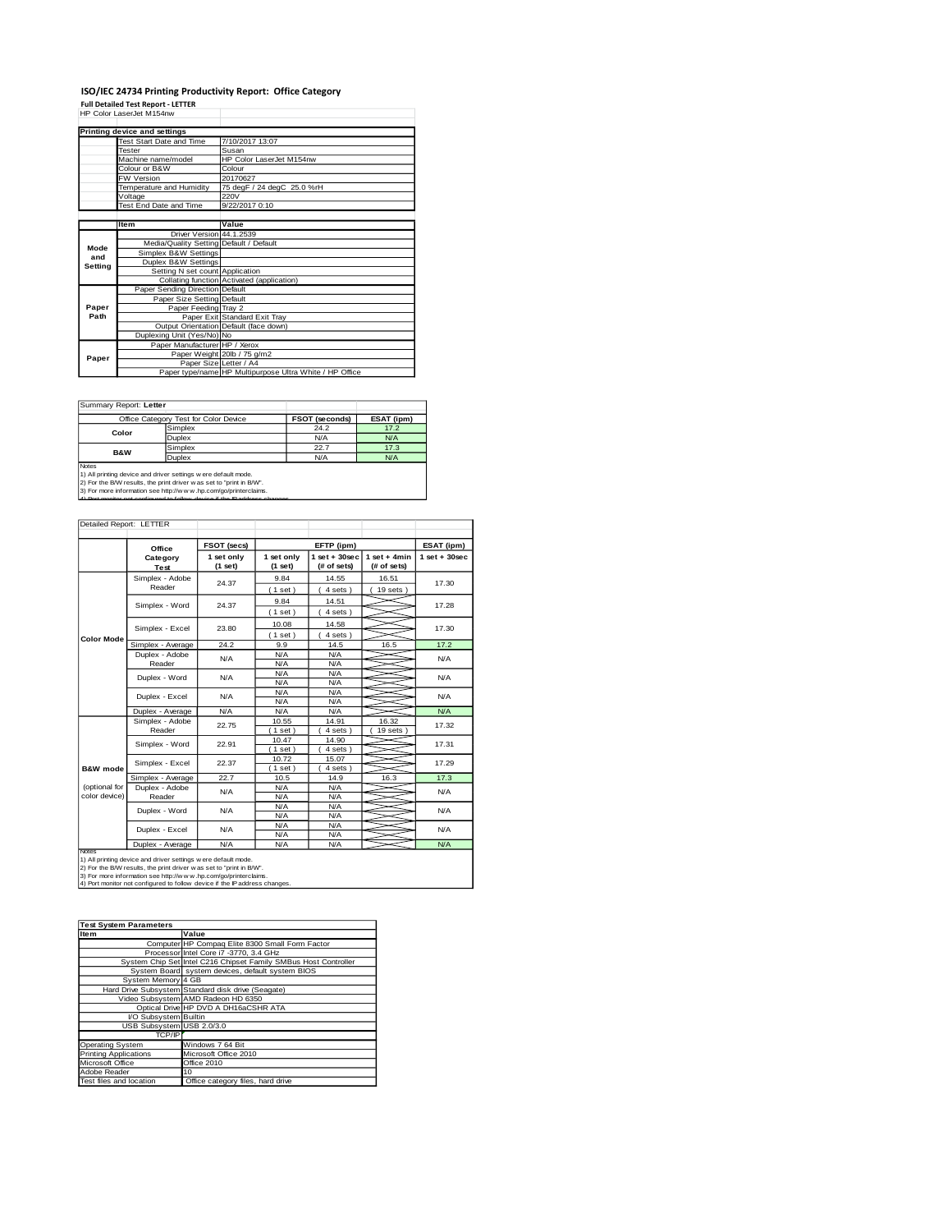## **ISO/IEC 24734 Printing Productivity Report: Office Category Full Detailed Test Report - LETTER** HP Color LaserJet M154nw

|         | Printing device and settings            |                                                         |
|---------|-----------------------------------------|---------------------------------------------------------|
|         | Test Start Date and Time                | 7/10/2017 13:07                                         |
|         | <b>Tester</b>                           | Susan                                                   |
|         | Machine name/model                      | HP Color Laser let M154nw                               |
|         | Colour or B&W                           | Colour                                                  |
|         | <b>FW Version</b>                       | 20170627                                                |
|         | Temperature and Humidity                | 75 degF / 24 degC 25.0 %rH                              |
|         | Voltage                                 | 220V                                                    |
|         | Test End Date and Time                  | 9/22/2017 0:10                                          |
|         |                                         |                                                         |
|         | <b>Item</b>                             | Value                                                   |
|         | Driver Version 44.1.2539                |                                                         |
| Mode    | Media/Quality Setting Default / Default |                                                         |
| and     | Simplex B&W Settings                    |                                                         |
| Setting | Duplex B&W Settings                     |                                                         |
|         | Setting N set count Application         |                                                         |
|         |                                         | Collating function Activated (application)              |
|         | Paper Sending Direction Default         |                                                         |
|         | Paper Size Setting Default              |                                                         |
| Paper   | Paper Feeding Tray 2                    |                                                         |
| Path    |                                         | Paper Exit Standard Exit Tray                           |
|         |                                         | Output Orientation Default (face down)                  |
|         | Duplexing Unit (Yes/No) No              |                                                         |
|         | Paper Manufacturer HP / Xerox           |                                                         |
| Paper   |                                         | Paper Weight 20lb / 75 g/m2                             |
|         | Paper Size Letter / A4                  |                                                         |
|         |                                         | Paper type/name HP Multipurpose Ultra White / HP Office |

Ī.

Summary Report: **Letter**

|                                                                                                                                                                                                                                                                                                | Office Category Test for Color Device | FSOT (seconds) | ESAT (ipm) |  |  |
|------------------------------------------------------------------------------------------------------------------------------------------------------------------------------------------------------------------------------------------------------------------------------------------------|---------------------------------------|----------------|------------|--|--|
| Color                                                                                                                                                                                                                                                                                          | Simplex                               | 24.2           | 17.2       |  |  |
|                                                                                                                                                                                                                                                                                                | Duplex                                | N/A            | N/A        |  |  |
| <b>B&amp;W</b>                                                                                                                                                                                                                                                                                 | Simplex                               | 22.7           | 17.3       |  |  |
|                                                                                                                                                                                                                                                                                                | <b>Duplex</b>                         | N/A            | N/A        |  |  |
| Notes<br>1) All printing device and driver settings w ere default mode.<br>2) For the B/W results, the print driver was set to "print in B/W".<br>3) For more information see http://www.hp.com/go/printerclaims.<br>4) Dort monitor not configured to follow device if the ID address changes |                                       |                |            |  |  |

| Detailed Report: LETTER        |                           |                       |                                                         |                  |                               |                 |
|--------------------------------|---------------------------|-----------------------|---------------------------------------------------------|------------------|-------------------------------|-----------------|
|                                | Office                    | <b>FSOT (secs)</b>    | EFTP (ipm)                                              |                  |                               | ESAT (ipm)      |
|                                | Category<br>Test          | 1 set only<br>(1 set) | $1$ set + 30sec<br>1 set only<br>(# of sets)<br>(1 set) |                  | $1$ set + 4min<br>(# of sets) | $1$ set + 30sec |
|                                | Simplex - Adobe<br>Reader | 24.37                 | 9.84<br>(1 set)                                         | 14.55<br>4 sets) | 16.51<br>19 sets              | 17.30           |
|                                | Simplex - Word            | 24.37                 | 9.84<br>(1 set)                                         | 14.51<br>4 sets) |                               | 17.28           |
|                                | Simplex - Excel           | 23.80                 | 10.08<br>(1 set)                                        | 14.58<br>4 sets) |                               | 17.30           |
| Color Mode                     | Simplex - Average         | 24.2                  | 9.9                                                     | 14.5             | 16.5                          | 17.2            |
|                                | Duplex - Adobe<br>Reader  | N/A                   | N/A<br>N/A                                              | N/A<br>N/A       |                               | N/A             |
|                                | Duplex - Word             | N/A                   | N/A<br>N/A                                              | N/A<br>N/A       |                               | N/A             |
|                                | Duplex - Excel            | N/A                   | N/A<br>N/A<br>N/A<br>N/A                                |                  | N/A                           |                 |
|                                | Duplex - Average          | N/A                   | N/A                                                     | N/A              |                               | N/A             |
|                                | Simplex - Adobe<br>Reader | 22.75                 | 10.55<br>$1$ set                                        | 14.91<br>4 sets  | 16.32<br>19 sets              | 17.32           |
|                                | Simplex - Word            | 22.91                 | 10.47<br>$1$ set)                                       | 14.90<br>4 sets) |                               | 17.31           |
| <b>B&amp;W</b> mode            | Simplex - Excel           | 22.37                 | 10.72<br>$1$ set)                                       | 15.07<br>4 sets) |                               | 17.29           |
|                                | Simplex - Average         | 22.7                  | 10.5                                                    | 14.9             | 16.3                          | 17.3            |
| (optional for<br>color device) | Duplex - Adobe<br>Reader  | N/A                   | N/A<br>N/A                                              | N/A<br>N/A       |                               | N/A             |
|                                | Duplex - Word             | N/A                   | N/A<br>N/A                                              | N/A<br>N/A       |                               | <b>N/A</b>      |
|                                | Duplex - Excel            | N/A                   | N/A<br>N/A                                              | N/A<br>N/A       |                               | N/A             |
|                                | Duplex - Average          | N/A                   | N/A                                                     | N/A              |                               | N/A             |

Notes<br>1) All printing device and driver settings were default mode.<br>2) For the B/W results, the print driver was set to "print in B/W".<br>3) For more information see http://w.w. hp.com/go/printerclaims.<br>4) Por monitor not co

| <b>Test System Parameters</b> |                                                                 |  |  |  |  |
|-------------------------------|-----------------------------------------------------------------|--|--|--|--|
| <b>Item</b>                   | Value                                                           |  |  |  |  |
|                               | Computer HP Compaq Elite 8300 Small Form Factor                 |  |  |  |  |
|                               | Processor Intel Core i7 -3770, 3.4 GHz                          |  |  |  |  |
|                               | System Chip Set Intel C216 Chipset Family SMBus Host Controller |  |  |  |  |
|                               | System Board system devices, default system BIOS                |  |  |  |  |
| System Memory 4 GB            |                                                                 |  |  |  |  |
|                               | Hard Drive Subsystem Standard disk drive (Seagate)              |  |  |  |  |
|                               | Video Subsystem AMD Radeon HD 6350                              |  |  |  |  |
|                               | Optical Drive HP DVD A DH16aCSHR ATA                            |  |  |  |  |
| <b>VO Subsystem Builtin</b>   |                                                                 |  |  |  |  |
| USB Subsystem USB 2.0/3.0     |                                                                 |  |  |  |  |
| TCP/IP                        |                                                                 |  |  |  |  |
| <b>Operating System</b>       | Windows 7 64 Bit                                                |  |  |  |  |
| <b>Printing Applications</b>  | Microsoft Office 2010                                           |  |  |  |  |
| Microsoft Office              | Office 2010                                                     |  |  |  |  |
| Adobe Reader                  | 10                                                              |  |  |  |  |
| Test files and location       | Office category files, hard drive                               |  |  |  |  |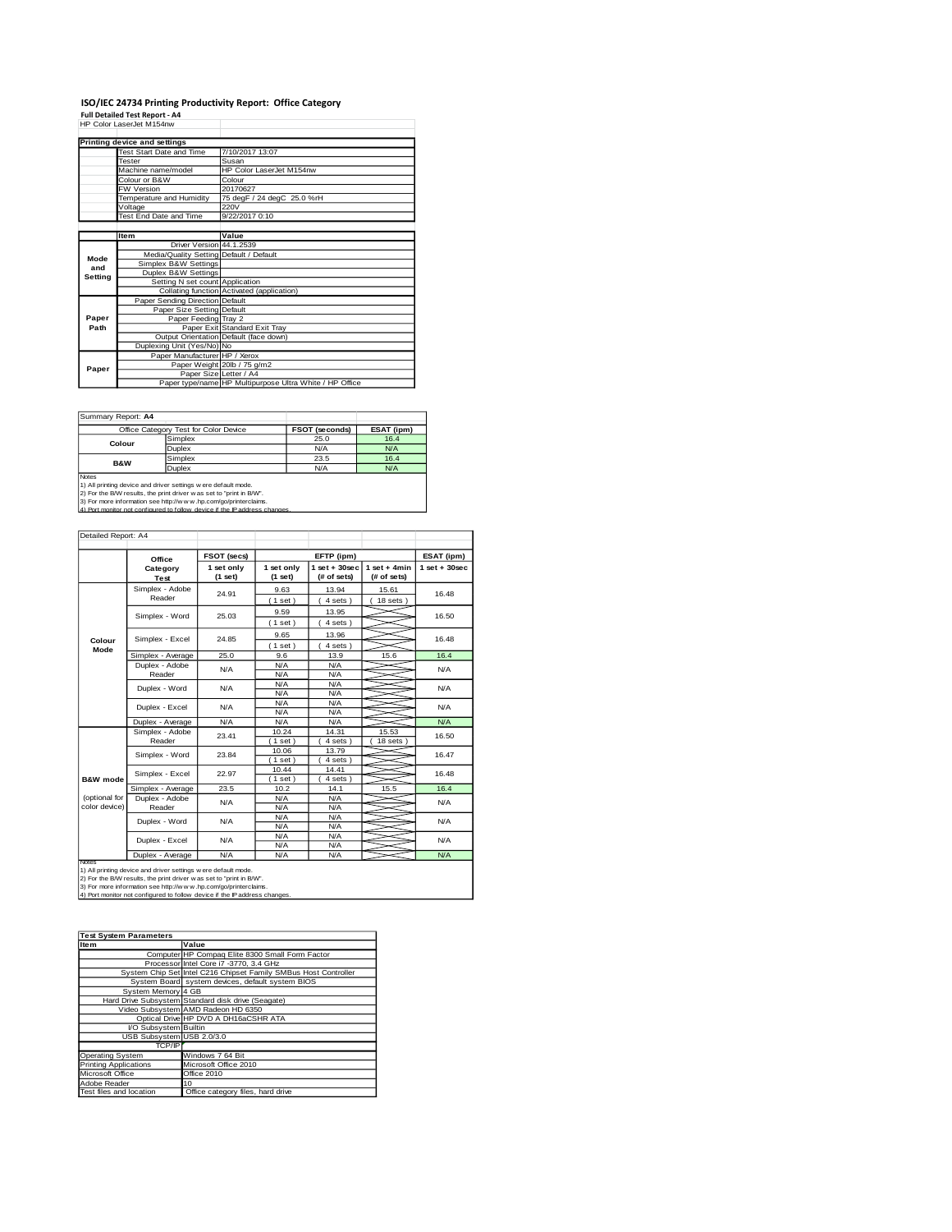# **ISO/IEC 24734 Printing Productivity Report: Office Category Full Detailed Test Report - A4** HP Color LaserJet M154nw

|         | HP Color LaserJet M154nw                |                                                         |
|---------|-----------------------------------------|---------------------------------------------------------|
|         | Printing device and settings            |                                                         |
|         | <b>Test Start Date and Time</b>         | 7/10/2017 13:07                                         |
|         | Tester                                  | Susan                                                   |
|         | Machine name/model                      | HP Color LaserJet M154nw                                |
|         | Colour or B&W                           | Colour                                                  |
|         | FW Version                              | 20170627                                                |
|         | Temperature and Humidity                | 75 degF / 24 degC 25.0 %rH                              |
|         | Voltage                                 | 220V                                                    |
|         | Test End Date and Time                  | 9/22/2017 0:10                                          |
|         |                                         |                                                         |
|         | <b>Item</b>                             | Value                                                   |
|         | Driver Version 44.1.2539                |                                                         |
| Mode    | Media/Quality Setting Default / Default |                                                         |
| and     | Simplex B&W Settings                    |                                                         |
| Setting | Duplex B&W Settings                     |                                                         |
|         | Setting N set count Application         |                                                         |
|         |                                         | Collating function Activated (application)              |
|         | Paper Sending Direction Default         |                                                         |
|         | Paper Size Setting Default              |                                                         |
| Paper   | Paper Feeding Tray 2                    |                                                         |
| Path    |                                         | Paper Exit Standard Exit Tray                           |
|         |                                         | Output Orientation Default (face down)                  |
|         | Duplexing Unit (Yes/No) No              |                                                         |
|         | Paper Manufacturer HP / Xerox           |                                                         |
| Paper   |                                         | Paper Weight 20lb / 75 g/m2                             |
|         | Paper Size Letter / A4                  |                                                         |
|         |                                         | Paper type/name HP Multipurpose Ultra White / HP Office |

Summary Report: **A4**

|                                                                      | Office Category Test for Color Device                                       | <b>FSOT (seconds)</b> | ESAT (ipm) |  |  |  |  |
|----------------------------------------------------------------------|-----------------------------------------------------------------------------|-----------------------|------------|--|--|--|--|
| Colour                                                               | Simplex                                                                     | 25.0                  | 16.4       |  |  |  |  |
|                                                                      | Duplex                                                                      | N/A                   | N/A        |  |  |  |  |
| <b>B&amp;W</b>                                                       | Simplex                                                                     | 23.5                  | 16.4       |  |  |  |  |
|                                                                      | Duplex                                                                      | N/A                   | N/A        |  |  |  |  |
| <b>Notes</b>                                                         |                                                                             |                       |            |  |  |  |  |
|                                                                      | 1) All printing device and driver settings w ere default mode.              |                       |            |  |  |  |  |
| 2) For the B/W results, the print driver w as set to "print in B/W". |                                                                             |                       |            |  |  |  |  |
| 3) For more information see http://www.hp.com/go/printerclaims.      |                                                                             |                       |            |  |  |  |  |
|                                                                      | 4) Port monitor not configured to follow, device if the IP address changes. |                       |            |  |  |  |  |

| Detailed Report: A4            |                           |                       |                          |                                   |                               |                 |
|--------------------------------|---------------------------|-----------------------|--------------------------|-----------------------------------|-------------------------------|-----------------|
|                                | Office                    | FSOT (secs)           |                          | EFTP (ipm)                        |                               | ESAT (ipm)      |
|                                | Category<br>Test          | 1 set only<br>(1 set) | 1 set only<br>(1 set)    | $1$ set + $30$ sec<br>(# of sets) | $1$ set + 4min<br>(# of sets) | $1$ set + 30sec |
|                                | Simplex - Adobe<br>Reader | 24.91                 | 9.63<br>(1 set)          | 13.94<br>4 sets)                  | 15.61<br>$18$ sets $)$        | 16.48           |
|                                | Simplex - Word            | 25.03                 | 9.59<br>(1 set)          | 13.95<br>4 sets)                  |                               | 16.50           |
| Colour                         | Simplex - Excel           | 24.85                 | 9.65                     | 13.96                             |                               | 16.48           |
| Mode                           | Simplex - Average         | 25.0                  | (1 set)<br>9.6           | $4 sets$ )<br>13.9                | 15.6                          | 16.4            |
|                                | Duplex - Adobe<br>Reader  | N/A                   | N/A<br>N/A               | N/A<br>N/A                        |                               | N/A             |
|                                | Duplex - Word             | N/A                   | N/A<br>N/A               | N/A<br>N/A                        |                               | N/A             |
|                                | Duplex - Excel            | N/A                   | N/A<br>N/A<br>N/A<br>N/A |                                   |                               | N/A             |
|                                | Duplex - Average          | N/A                   | N/A                      | N/A                               |                               | N/A             |
|                                | Simplex - Adobe<br>Reader | 23.41                 | 10.24<br>(1 set)         | 14.31<br>4 sets)                  | 15.53<br>$18$ sets $)$        | 16.50           |
|                                | Simplex - Word            | 23.84                 | 10.06<br>(1 set)         | 13.79<br>4 sets)                  |                               | 16.47           |
| <b>B&amp;W</b> mode            | Simplex - Excel           | 22.97                 | 10.44<br>(1 set)         | 14.41<br>4 sets)                  |                               | 16.48           |
|                                | Simplex - Average         | 23.5                  | 10.2                     | 14.1                              | 15.5                          | 16.4            |
| (optional for<br>color device) | Duplex - Adobe<br>Reader  | N/A                   | N/A<br>N/A               | N/A<br>N/A                        |                               | N/A             |
|                                | Duplex - Word             | N/A                   | N/A<br>N/A               | N/A<br>N/A                        |                               | N/A             |
|                                | Duplex - Excel            | N/A                   | N/A<br>N/A               | N/A<br>N/A                        |                               | N/A             |
|                                | Duplex - Average          | N/A                   | N/A                      | N/A                               |                               | N/A             |

Notes<br>1) All printing device and driver settings were default mode.<br>2) For the B/W results, the print driver was set to "print in B/W".<br>3) For more information see http://www.hp.com/go/printerclaims.<br>4) Por monitor not con

| <b>Test System Parameters</b> |                                                                 |
|-------------------------------|-----------------------------------------------------------------|
| Item                          | Value                                                           |
|                               | Computer HP Compaq Elite 8300 Small Form Factor                 |
|                               | Processor Intel Core i7 -3770, 3.4 GHz                          |
|                               | System Chip Set Intel C216 Chipset Family SMBus Host Controller |
|                               | System Board system devices, default system BIOS                |
| System Memory 4 GB            |                                                                 |
|                               | Hard Drive Subsystem Standard disk drive (Seagate)              |
|                               | Video Subsystem AMD Radeon HD 6350                              |
|                               | Optical Drive HP DVD A DH16aCSHR ATA                            |
| I/O Subsystem Builtin         |                                                                 |
| USB Subsystem USB 2.0/3.0     |                                                                 |
| <b>TCP/IP</b>                 |                                                                 |
| <b>Operating System</b>       | Windows 7 64 Bit                                                |
| <b>Printing Applications</b>  | Microsoft Office 2010                                           |
| Microsoft Office              | Office 2010                                                     |
| Adobe Reader                  | 10                                                              |
| Test files and location       | Office category files, hard drive                               |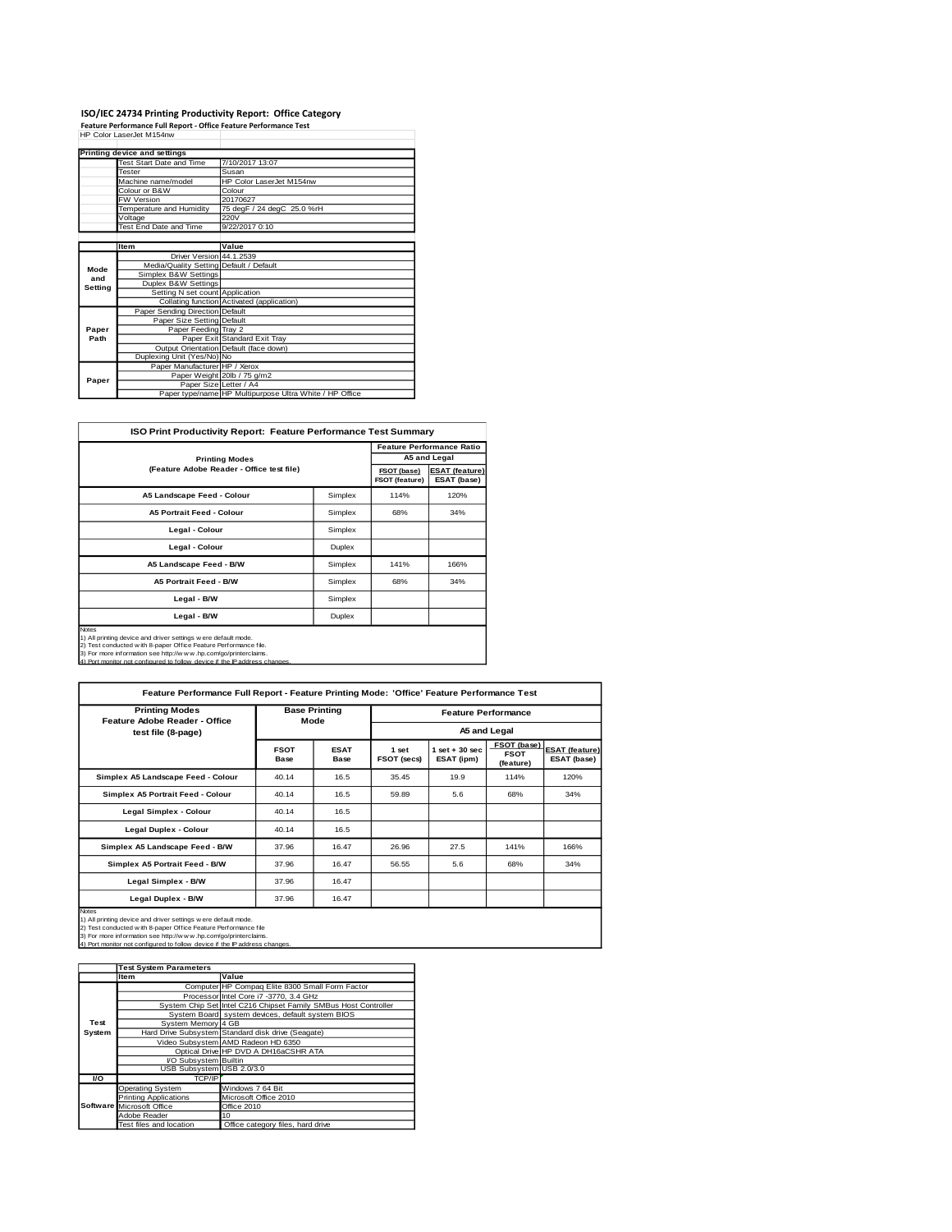### **ISO/IEC 24734 Printing Productivity Report: Office Category Feature Performance Full Report - Office Feature Performance Test** HP Color LaserJet M154nw

|         | Printing device and settings            |                                                         |
|---------|-----------------------------------------|---------------------------------------------------------|
|         | <b>Test Start Date and Time</b>         | 7/10/2017 13:07                                         |
|         | <b>Tester</b>                           | Susan                                                   |
|         | Machine name/model                      | HP Color LaserJet M154nw                                |
|         | Colour or B&W                           | Colour                                                  |
|         | <b>FW Version</b>                       | 20170627                                                |
|         | Temperature and Humidity                | 75 degF / 24 degC 25.0 %rH                              |
|         | Voltage                                 | 220V                                                    |
|         | <b>Test End Date and Time</b>           | 9/22/2017 0:10                                          |
|         |                                         |                                                         |
|         | <b>Item</b>                             | Value                                                   |
|         | Driver Version 44.1.2539                |                                                         |
| Mode    | Media/Quality Setting Default / Default |                                                         |
| and     | Simplex B&W Settings                    |                                                         |
| Setting | Duplex B&W Settings                     |                                                         |
|         | Setting N set count Application         |                                                         |
|         |                                         | Collating function Activated (application)              |
|         | Paper Sending Direction Default         |                                                         |
|         | Paper Size Setting Default              |                                                         |
| Paper   | Paper Feeding Tray 2                    |                                                         |
| Path    |                                         | Paper Exit Standard Exit Tray                           |
|         |                                         | Output Orientation Default (face down)                  |
|         | Duplexing Unit (Yes/No) No              |                                                         |
|         | Paper Manufacturer HP / Xerox           |                                                         |
| Paper   |                                         | Paper Weight 20lb / 75 g/m2                             |
|         | Paper Size Letter / A4                  |                                                         |
|         |                                         | Paper type/name HP Multipurpose Ultra White / HP Office |

 $\mathcal{L}_{\mathcal{A}}$ 

| <b>ISO Print Productivity Report: Feature Performance Test Summary</b>                                                                                                                                                                                                                         |                               |                                      |                                  |  |  |  |
|------------------------------------------------------------------------------------------------------------------------------------------------------------------------------------------------------------------------------------------------------------------------------------------------|-------------------------------|--------------------------------------|----------------------------------|--|--|--|
|                                                                                                                                                                                                                                                                                                |                               |                                      | <b>Feature Performance Ratio</b> |  |  |  |
| <b>Printing Modes</b>                                                                                                                                                                                                                                                                          |                               |                                      | A5 and Legal                     |  |  |  |
| (Feature Adobe Reader - Office test file)                                                                                                                                                                                                                                                      | FSOT (base)<br>FSOT (feature) | <b>ESAT (feature)</b><br>ESAT (base) |                                  |  |  |  |
| A5 Landscape Feed - Colour                                                                                                                                                                                                                                                                     | Simplex                       | 114%                                 | 120%                             |  |  |  |
| <b>A5 Portrait Feed - Colour</b>                                                                                                                                                                                                                                                               | Simplex                       | 68%                                  | 34%                              |  |  |  |
| Legal - Colour                                                                                                                                                                                                                                                                                 | Simplex                       |                                      |                                  |  |  |  |
| Legal - Colour                                                                                                                                                                                                                                                                                 | Duplex                        |                                      |                                  |  |  |  |
| A5 Landscape Feed - B/W                                                                                                                                                                                                                                                                        | Simplex                       | 141%                                 | 166%                             |  |  |  |
| <b>A5 Portrait Feed - B/W</b>                                                                                                                                                                                                                                                                  | Simplex                       | 68%                                  | 34%                              |  |  |  |
| Legal - B/W                                                                                                                                                                                                                                                                                    | Simplex                       |                                      |                                  |  |  |  |
| Legal - B/W<br>Duplex                                                                                                                                                                                                                                                                          |                               |                                      |                                  |  |  |  |
| Notes<br>1) All printing device and driver settings w ere default mode.<br>2) Test conducted w ith 8-paper Office Feature Performance file.<br>3) For more information see http://w w w .hp.com/go/printerclaims.<br>4) Port monitor not configured to follow device if the IP address changes |                               |                                      |                                  |  |  |  |

| Feature Performance Full Report - Feature Printing Mode: 'Office' Feature Performance Test                                                                                                                                                                                                    |                              |                     |                            |                                |                                         |                                      |  |
|-----------------------------------------------------------------------------------------------------------------------------------------------------------------------------------------------------------------------------------------------------------------------------------------------|------------------------------|---------------------|----------------------------|--------------------------------|-----------------------------------------|--------------------------------------|--|
| <b>Printing Modes</b><br>Feature Adobe Reader - Office                                                                                                                                                                                                                                        | <b>Base Printing</b><br>Mode |                     | <b>Feature Performance</b> |                                |                                         |                                      |  |
| test file (8-page)                                                                                                                                                                                                                                                                            |                              |                     | A5 and Legal               |                                |                                         |                                      |  |
|                                                                                                                                                                                                                                                                                               | <b>FSOT</b><br>Base          | <b>ESAT</b><br>Base | 1 set<br>FSOT (secs)       | $1$ set + 30 sec<br>ESAT (ipm) | FSOT (base)<br><b>FSOT</b><br>(feature) | <b>ESAT (feature)</b><br>ESAT (base) |  |
| Simplex A5 Landscape Feed - Colour                                                                                                                                                                                                                                                            | 40.14                        | 16.5                | 35.45                      | 19.9                           | 114%                                    | 120%                                 |  |
| Simplex A5 Portrait Feed - Colour                                                                                                                                                                                                                                                             | 40.14                        | 16.5                | 59.89                      | 5.6                            | 68%                                     | 34%                                  |  |
| Legal Simplex - Colour                                                                                                                                                                                                                                                                        | 40.14                        | 16.5                |                            |                                |                                         |                                      |  |
| Legal Duplex - Colour                                                                                                                                                                                                                                                                         | 40.14                        | 16.5                |                            |                                |                                         |                                      |  |
| Simplex A5 Landscape Feed - B/W                                                                                                                                                                                                                                                               | 37.96                        | 16.47               | 26.96                      | 27.5                           | 141%                                    | 166%                                 |  |
| Simplex A5 Portrait Feed - B/W                                                                                                                                                                                                                                                                | 37.96                        | 16.47               | 56.55                      | 5.6                            | 68%                                     | 34%                                  |  |
| Legal Simplex - B/W                                                                                                                                                                                                                                                                           | 37.96                        | 16.47               |                            |                                |                                         |                                      |  |
| Legal Duplex - B/W<br>16.47<br>37.96                                                                                                                                                                                                                                                          |                              |                     |                            |                                |                                         |                                      |  |
| Notes<br>1) All printing device and driver settings were default mode.<br>2) Test conducted w ith 8-paper Office Feature Performance file<br>3) For more information see http://w w w .hp.com/go/printerclaims.<br>4) Port monitor not configured to follow device if the IP address changes. |                              |                     |                            |                                |                                         |                                      |  |

|        | <b>Test System Parameters</b> |                                                                 |  |  |  |
|--------|-------------------------------|-----------------------------------------------------------------|--|--|--|
|        | <b>Item</b>                   | Value                                                           |  |  |  |
|        |                               | Computer HP Compaq Elite 8300 Small Form Factor                 |  |  |  |
|        |                               | Processor Intel Core i7 -3770, 3.4 GHz                          |  |  |  |
|        |                               | System Chip Set Intel C216 Chipset Family SMBus Host Controller |  |  |  |
|        |                               | System Board system devices, default system BIOS                |  |  |  |
| Test   | System Memory 4 GB            |                                                                 |  |  |  |
| System |                               | Hard Drive Subsystem Standard disk drive (Seagate)              |  |  |  |
|        |                               | Video Subsystem AMD Radeon HD 6350                              |  |  |  |
|        |                               | Optical Drive HP DVD A DH16aCSHR ATA                            |  |  |  |
|        | I/O Subsystem Builtin         |                                                                 |  |  |  |
|        | USB Subsystem USB 2.0/3.0     |                                                                 |  |  |  |
| VO.    | TCP/IP                        |                                                                 |  |  |  |
|        | <b>Operating System</b>       | Windows 7 64 Bit                                                |  |  |  |
|        | <b>Printing Applications</b>  | Microsoft Office 2010                                           |  |  |  |
|        | Software Microsoft Office     | Office 2010                                                     |  |  |  |
|        | Adobe Reader                  | 10                                                              |  |  |  |
|        | Test files and location       | Office category files, hard drive                               |  |  |  |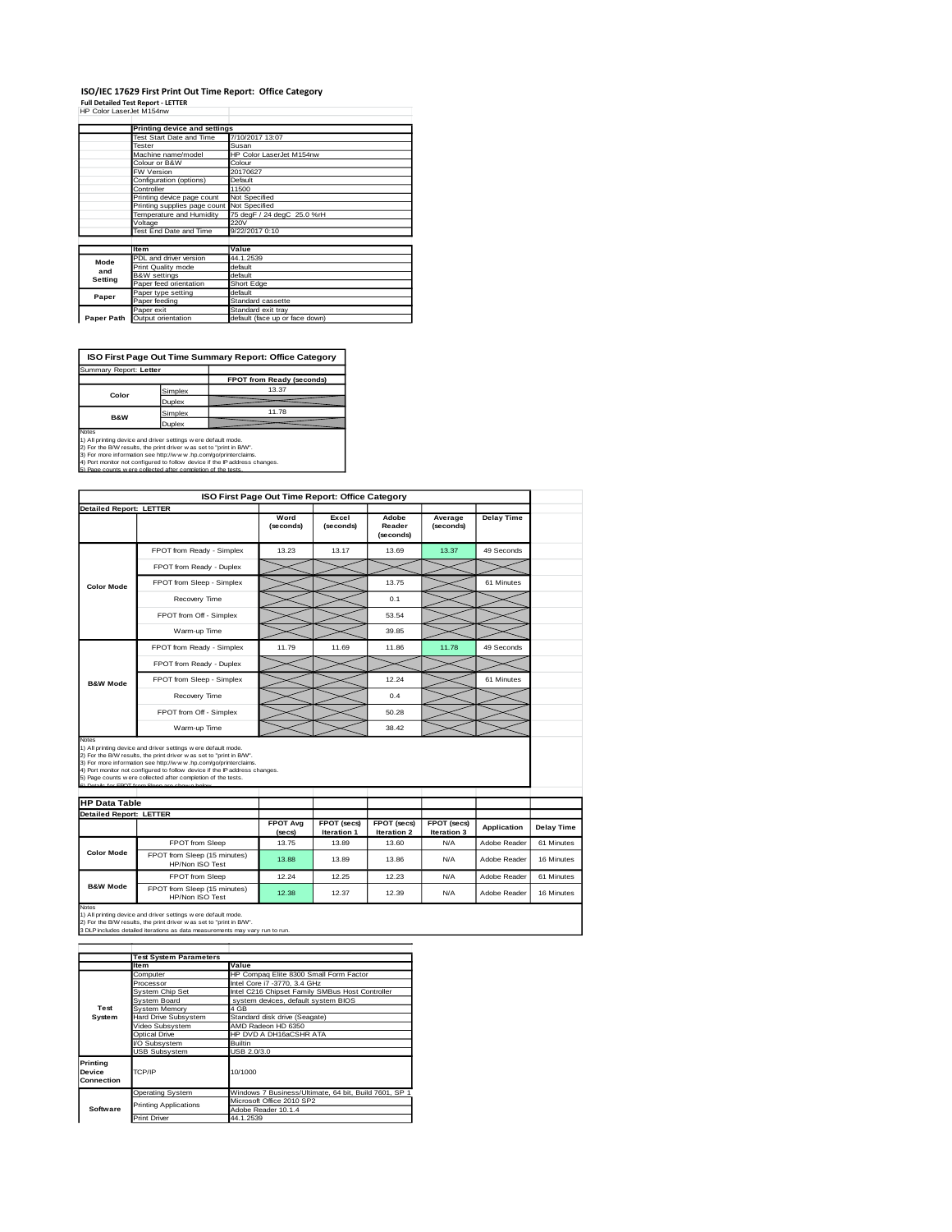#### **ISO/IEC 17629 First Print Out Time Report: Office Category Full Detailed Test Report - LETTER** HP Color LaserJet M154nw

|            |                                            | Printing device and settings   |  |  |  |  |
|------------|--------------------------------------------|--------------------------------|--|--|--|--|
|            | Test Start Date and Time                   | 7/10/2017 13:07                |  |  |  |  |
|            | Tester                                     | Susan                          |  |  |  |  |
|            | Machine name/model                         | HP Color LaserJet M154nw       |  |  |  |  |
|            | Colour or B&W                              | Colour                         |  |  |  |  |
|            | FW Version                                 | 20170627                       |  |  |  |  |
|            | Configuration (options)                    | Default                        |  |  |  |  |
|            | Controller                                 | 11500                          |  |  |  |  |
|            | Printing device page count                 | Not Specified                  |  |  |  |  |
|            | Printing supplies page count Not Specified |                                |  |  |  |  |
|            | Temperature and Humidity                   | 75 degF / 24 degC 25.0 %rH     |  |  |  |  |
|            | Voltage                                    | 220V                           |  |  |  |  |
|            | Test End Date and Time                     | 9/22/2017 0:10                 |  |  |  |  |
|            |                                            |                                |  |  |  |  |
|            | <b>Item</b>                                | Value                          |  |  |  |  |
| Mode       | PDL and driver version                     | 44.1.2539                      |  |  |  |  |
| and        | Print Quality mode                         | default                        |  |  |  |  |
| Setting    | <b>B&amp;W</b> settings                    | default                        |  |  |  |  |
|            | Paper feed orientation                     | Short Edge                     |  |  |  |  |
| Paper      | Paper type setting                         | default                        |  |  |  |  |
|            | Paper feeding                              | Standard cassette              |  |  |  |  |
|            | Paper exit                                 | Standard exit tray             |  |  |  |  |
| Paper Path | Output orientation                         | default (face up or face down) |  |  |  |  |

**ISO First Page Out Time Summary Report: Office Category**

**FPOT from Ready (second)** Simplex Duplex Simplex 11.78<br>Duplex Summary Report: **Letter Color B&W**

Notes<br>1) All printing device and driver settings were default mode.<br>2) For the BW results, the print driver was set to "print in BW".<br>3) For more information see http://www.hp.com/gofprinterclaims.<br>4) Port monitor not conf

|                                                       |                                                                                                                                                                                                                                                                                                                                                                                                          | ISO First Page Out Time Report: Office Category |                      |                              |                      |                    |                   |
|-------------------------------------------------------|----------------------------------------------------------------------------------------------------------------------------------------------------------------------------------------------------------------------------------------------------------------------------------------------------------------------------------------------------------------------------------------------------------|-------------------------------------------------|----------------------|------------------------------|----------------------|--------------------|-------------------|
| <b>Detailed Report: LETTER</b>                        |                                                                                                                                                                                                                                                                                                                                                                                                          |                                                 |                      |                              |                      |                    |                   |
|                                                       |                                                                                                                                                                                                                                                                                                                                                                                                          | Word<br>(seconds)                               | Excel<br>(seconds)   | Adobe<br>Reader<br>(seconds) | Average<br>(seconds) | <b>Delay Time</b>  |                   |
|                                                       | FPOT from Ready - Simplex                                                                                                                                                                                                                                                                                                                                                                                | 13.23                                           | 13.17                | 13.69                        | 13.37                | 49 Seconds         |                   |
|                                                       | FPOT from Ready - Duplex                                                                                                                                                                                                                                                                                                                                                                                 |                                                 |                      |                              |                      |                    |                   |
| <b>Color Mode</b>                                     | FPOT from Sleep - Simplex                                                                                                                                                                                                                                                                                                                                                                                |                                                 |                      | 13.75                        |                      | 61 Minutes         |                   |
|                                                       | Recovery Time                                                                                                                                                                                                                                                                                                                                                                                            |                                                 |                      | 0.1                          |                      |                    |                   |
|                                                       | FPOT from Off - Simplex                                                                                                                                                                                                                                                                                                                                                                                  |                                                 |                      | 53.54                        |                      |                    |                   |
|                                                       | Warm-up Time                                                                                                                                                                                                                                                                                                                                                                                             |                                                 |                      | 39.85                        |                      |                    |                   |
|                                                       | FPOT from Ready - Simplex                                                                                                                                                                                                                                                                                                                                                                                | 11.79                                           | 11.69                | 11.86                        | 11.78                | 49 Seconds         |                   |
|                                                       | FPOT from Ready - Duplex                                                                                                                                                                                                                                                                                                                                                                                 |                                                 |                      |                              |                      |                    |                   |
| <b>B&amp;W Mode</b>                                   | FPOT from Sleep - Simplex                                                                                                                                                                                                                                                                                                                                                                                |                                                 |                      | 12.24                        |                      | 61 Minutes         |                   |
|                                                       | Recovery Time                                                                                                                                                                                                                                                                                                                                                                                            |                                                 |                      | 0.4                          |                      |                    |                   |
|                                                       |                                                                                                                                                                                                                                                                                                                                                                                                          |                                                 |                      |                              |                      |                    |                   |
|                                                       | FPOT from Off - Simplex                                                                                                                                                                                                                                                                                                                                                                                  |                                                 |                      | 50.28                        |                      |                    |                   |
| <b>Notes</b>                                          | Warm-up Time                                                                                                                                                                                                                                                                                                                                                                                             |                                                 |                      | 38.42                        |                      |                    |                   |
| <b>HP Data Table</b>                                  | 1) All printing device and driver settings were default mode.<br>2) For the B/W results, the print driver was set to "print in B/W".<br>3) For more information see http://www.hp.com/go/printerclaims.<br>4) Port monitor not configured to follow device if the IP address changes.<br>5) Page counts w ere collected after completion of the tests.<br>6) Details for FROT from Sleep are shown below |                                                 |                      |                              |                      |                    |                   |
|                                                       |                                                                                                                                                                                                                                                                                                                                                                                                          | <b>FPOT Avg</b>                                 | FPOT (secs)          | FPOT (secs)                  | FPOT (secs)          | <b>Application</b> | <b>Delay Time</b> |
|                                                       | <b>FPOT</b> from Sleep                                                                                                                                                                                                                                                                                                                                                                                   | (secs)<br>13.75                                 | Iteration 1<br>13.89 | <b>Iteration 2</b><br>13.60  | Iteration 3<br>N/A   | Adobe Reader       | 61 Minutes        |
| <b>Color Mode</b>                                     | FPOT from Sleep (15 minutes)<br>HP/Non ISO Test                                                                                                                                                                                                                                                                                                                                                          | 13.88                                           | 13.89                | 13.86                        | N/A                  | Adobe Reader       | 16 Minutes        |
| <b>Detailed Report: LETTER</b><br><b>B&amp;W Mode</b> | FPOT from Sleep                                                                                                                                                                                                                                                                                                                                                                                          | 12.24                                           | 12.25                | 12.23                        | N/A                  | Adobe Reader       | 61 Minutes        |

1) All printing device and driver settings w ere default mode.<br>2) For the B/W results, the print driver w as set to "print in B/W".<br>3 DLP includes detailed iterations as data measurements may vary run to run.

|                                  | <b>Test System Parameters</b> |                                                       |  |  |  |
|----------------------------------|-------------------------------|-------------------------------------------------------|--|--|--|
|                                  | <b>Item</b>                   | Value                                                 |  |  |  |
|                                  | Computer                      | HP Compaq Elite 8300 Small Form Factor                |  |  |  |
|                                  | Processor                     | Intel Core i7 -3770, 3.4 GHz                          |  |  |  |
|                                  | System Chip Set               | Intel C216 Chipset Family SMBus Host Controller       |  |  |  |
|                                  | System Board                  | system devices, default system BIOS                   |  |  |  |
| Test                             | System Memory                 | 4 GB                                                  |  |  |  |
| System                           | <b>Hard Drive Subsystem</b>   | Standard disk drive (Seagate)                         |  |  |  |
|                                  | Video Subsystem               | AMD Radeon HD 6350                                    |  |  |  |
|                                  | Optical Drive                 | HP DVD A DH16aCSHR ATA                                |  |  |  |
|                                  | VO Subsystem                  | <b>Builtin</b>                                        |  |  |  |
|                                  | <b>USB Subsystem</b>          | USB 2.0/3.0                                           |  |  |  |
| Printing<br>Device<br>Connection | 10/1000<br>TCP/IP             |                                                       |  |  |  |
|                                  | <b>Operating System</b>       | Windows 7 Business/Ultimate, 64 bit, Build 7601, SP 1 |  |  |  |
|                                  | <b>Printing Applications</b>  | Microsoft Office 2010 SP2                             |  |  |  |
| Software                         |                               | Adobe Reader 10.1.4                                   |  |  |  |
|                                  | <b>Print Driver</b>           | 44.1.2539                                             |  |  |  |